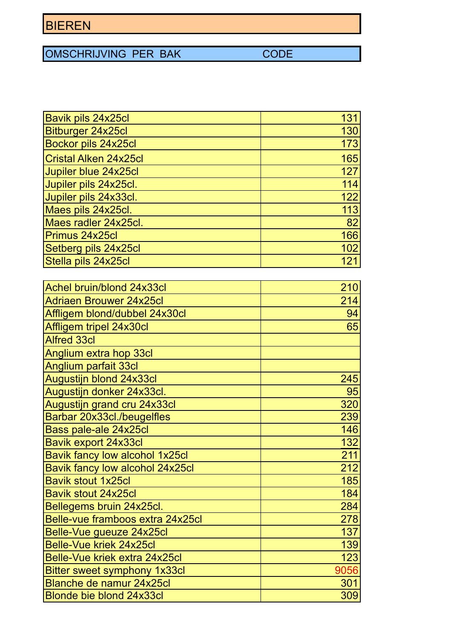OMSCHRIJVING PER BAK CODE

| <b>Bavik pils 24x25cl</b>     | 131 |
|-------------------------------|-----|
| Bitburger 24x25cl             | 130 |
| <b>Bockor pils 24x25cl</b>    | 173 |
| Cristal Alken 24x25cl         | 165 |
| Jupiler blue 24x25cl          | 127 |
| Jupiler pils 24x25cl.         | 114 |
| Jupiler pils 24x33cl.         | 122 |
| Maes pils 24x25cl.            | 113 |
| Maes radler 24x25cl.          | 82  |
| Primus 24x25cl                | 166 |
| Setberg pils 24x25cl          | 102 |
| Stella pils 24x25cl           | 121 |
|                               |     |
| Achel bruin/blond 24x33cl     | 210 |
| Adriaen Brouwer 24x25cl       | 214 |
| Affligem blond/dubbel 24x30cl | 94  |
| Affligem tripel 24x30cl       | 65  |
| <b>Alfred 33cl</b>            |     |

| Affligem tripel 24x30cl          | 65   |
|----------------------------------|------|
| <b>Alfred 33cl</b>               |      |
| Anglium extra hop 33cl           |      |
| Anglium parfait 33cl             |      |
| Augustijn blond 24x33cl          | 245  |
| Augustijn donker 24x33cl.        | 95   |
| Augustijn grand cru 24x33cl      | 320  |
| Barbar 20x33cl./beugelfles       | 239  |
| Bass pale-ale 24x25cl            | 146  |
| <b>Bavik export 24x33cl</b>      | 132  |
| Bavik fancy low alcohol 1x25cl   | 211  |
| Bavik fancy low alcohol 24x25cl  | 212  |
| <b>Bavik stout 1x25cl</b>        | 185  |
| <b>Bavik stout 24x25cl</b>       | 184  |
| Bellegems bruin 24x25cl.         | 284  |
| Belle-vue framboos extra 24x25cl | 278  |
| Belle-Vue gueuze 24x25cl         | 137  |
| Belle-Vue kriek 24x25cl          | 139  |
| Belle-Vue kriek extra 24x25cl    | 123  |
| Bitter sweet symphony 1x33cl     | 9056 |
| Blanche de namur 24x25cl         | 301  |
| <b>Blonde bie blond 24x33cl</b>  | 309  |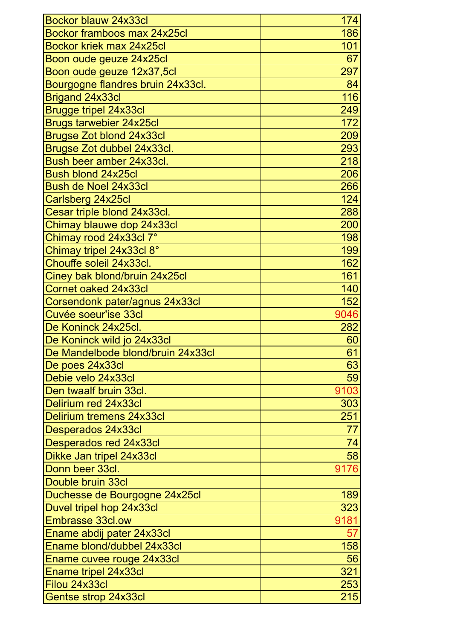| Bockor blauw 24x33cl              | 174  |
|-----------------------------------|------|
| Bockor framboos max 24x25cl       | 186  |
| Bockor kriek max 24x25cl          | 101  |
| Boon oude geuze 24x25cl           | 67   |
| Boon oude geuze 12x37,5cl         | 297  |
| Bourgogne flandres bruin 24x33cl. | 84   |
| Brigand 24x33cl                   | 116  |
| Brugge tripel 24x33cl             | 249  |
| <b>Brugs tarwebier 24x25cl</b>    | 172  |
| <b>Brugse Zot blond 24x33cl</b>   | 209  |
| Brugse Zot dubbel 24x33cl.        | 293  |
| Bush beer amber 24x33cl.          | 218  |
| <b>Bush blond 24x25cl</b>         | 206  |
| Bush de Noel 24x33cl              | 266  |
| Carlsberg 24x25cl                 | 124  |
| Cesar triple blond 24x33cl.       | 288  |
| Chimay blauwe dop 24x33cl         | 200  |
| Chimay rood 24x33cl 7°            | 198  |
| Chimay tripel 24x33cl 8°          | 199  |
| Chouffe soleil 24x33cl.           | 162  |
| Ciney bak blond/bruin 24x25cl     | 161  |
| Cornet oaked 24x33cl              | 140  |
| Corsendonk pater/agnus 24x33cl    | 152  |
| Cuvée soeur'ise 33cl              | 9046 |
| De Koninck 24x25cl.               | 282  |
| De Koninck wild jo 24x33cl        | 60   |
| De Mandelbode blond/bruin 24x33cl | 61   |
| De poes 24x33cl                   | 63   |
| Debie velo 24x33cl                | 59   |
| Den twaalf bruin 33cl.            | 9103 |
| Delirium red 24x33cl              | 303  |
| Delirium tremens 24x33cl          | 251  |
| Desperados 24x33cl                | 77   |
| Desperados red 24x33cl            | 74   |
| Dikke Jan tripel 24x33cl          | 58   |
| Donn beer 33cl.                   | 9176 |
| Double bruin 33cl                 |      |
| Duchesse de Bourgogne 24x25cl     | 189  |
| Duvel tripel hop 24x33cl          | 323  |
| <b>Embrasse 33cl.ow</b>           | 9181 |
| Ename abdij pater 24x33cl         | 57   |
| Ename blond/dubbel 24x33cl        | 158  |
| Ename cuvee rouge 24x33cl         | 56   |
| Ename tripel 24x33cl              | 321  |
| Filou 24x33cl                     | 253  |
| Gentse strop 24x33cl              | 215  |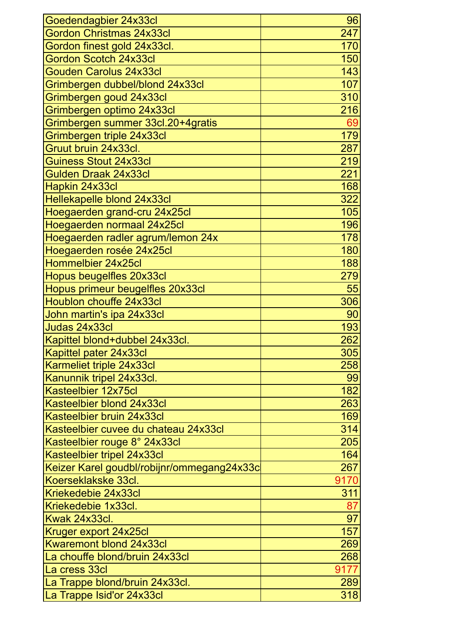| Goedendagbier 24x33cl                      | 96   |
|--------------------------------------------|------|
| <b>Gordon Christmas 24x33cl</b>            | 247  |
| Gordon finest gold 24x33cl.                | 170  |
| <b>Gordon Scotch 24x33cl</b>               | 150  |
| <b>Gouden Carolus 24x33cl</b>              | 143  |
| Grimbergen dubbel/blond 24x33cl            | 107  |
| Grimbergen goud 24x33cl                    | 310  |
| Grimbergen optimo 24x33cl                  | 216  |
| Grimbergen summer 33cl.20+4gratis          | 69   |
| Grimbergen triple 24x33cl                  | 179  |
| Gruut bruin 24x33cl.                       | 287  |
| <b>Guiness Stout 24x33cl</b>               | 219  |
| <b>Gulden Draak 24x33cl</b>                | 221  |
| Hapkin 24x33cl                             | 168  |
| Hellekapelle blond 24x33cl                 | 322  |
| Hoegaerden grand-cru 24x25cl               | 105  |
| Hoegaerden normaal 24x25cl                 | 196  |
| Hoegaerden radler agrum/lemon 24x          | 178  |
| Hoegaerden rosée 24x25cl                   | 180  |
| Hommelbier 24x25cl                         | 188  |
| Hopus beugelfles 20x33cl                   | 279  |
| Hopus primeur beugelfles 20x33cl           | 55   |
| <b>Houblon chouffe 24x33cl</b>             | 306  |
| John martin's ipa 24x33cl                  | 90   |
| Judas 24x33cl                              | 193  |
| Kapittel blond+dubbel 24x33cl.             | 262  |
| Kapittel pater 24x33cl                     | 305  |
| Karmeliet triple 24x33cl                   | 258  |
| Kanunnik tripel 24x33cl.                   | 99   |
| Kasteelbier 12x75cl                        | 182  |
| Kasteelbier blond 24x33cl                  | 263  |
| Kasteelbier bruin 24x33cl                  | 169  |
| Kasteelbier cuvee du chateau 24x33cl       | 314  |
| Kasteelbier rouge 8° 24x33cl               | 205  |
| Kasteelbier tripel 24x33cl                 | 164  |
| Keizer Karel goudbl/robijnr/ommegang24x33c | 267  |
| Koerseklakske 33cl.                        | 9170 |
| Kriekedebie 24x33cl                        | 311  |
| Kriekedebie 1x33cl.                        | 87   |
| Kwak 24x33cl.                              | 97   |
| Kruger export 24x25cl                      | 157  |
| <b>Kwaremont blond 24x33cl</b>             | 269  |
| La chouffe blond/bruin 24x33cl             | 268  |
| La cress 33cl                              | 9177 |
| La Trappe blond/bruin 24x33cl.             | 289  |
| La Trappe Isid'or 24x33cl                  | 318  |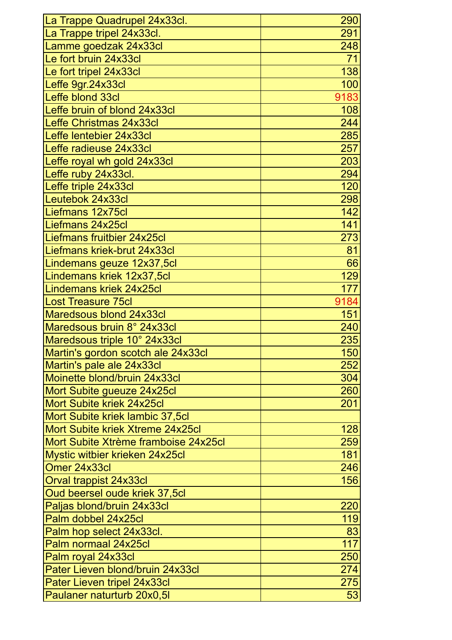| La Trappe Quadrupel 24x33cl.         | 290  |
|--------------------------------------|------|
| La Trappe tripel 24x33cl.            | 291  |
| Lamme goedzak 24x33cl                | 248  |
| Le fort bruin 24x33cl                | 71   |
| Le fort tripel 24x33cl               | 138  |
| Leffe 9gr.24x33cl                    | 100  |
| Leffe blond 33cl                     | 9183 |
| Leffe bruin of blond 24x33cl         | 108  |
| Leffe Christmas 24x33cl              | 244  |
| Leffe lentebier 24x33cl              | 285  |
| Leffe radieuse 24x33cl               | 257  |
| Leffe royal wh gold 24x33cl          | 203  |
| Leffe ruby 24x33cl.                  | 294  |
| Leffe triple 24x33cl                 | 120  |
| Leutebok 24x33cl                     | 298  |
| Liefmans 12x75cl                     | 142  |
| Liefmans 24x25cl                     | 141  |
| Liefmans fruitbier 24x25cl           | 273  |
| Liefmans kriek-brut 24x33cl          | 81   |
| Lindemans geuze 12x37,5cl            | 66   |
| Lindemans kriek 12x37,5cl            | 129  |
| Lindemans kriek 24x25cl              | 177  |
| Lost Treasure 75cl                   | 9184 |
| Maredsous blond 24x33cl              | 151  |
| Maredsous bruin 8° 24x33cl           | 240  |
| Maredsous triple 10° 24x33cl         | 235  |
| Martin's gordon scotch ale 24x33cl   | 150  |
| Martin's pale ale 24x33cl            | 252  |
| Moinette blond/bruin 24x33cl         | 304  |
| Mort Subite gueuze 24x25cl           | 260  |
| Mort Subite kriek 24x25cl            | 201  |
| Mort Subite kriek lambic 37,5cl      |      |
| Mort Subite kriek Xtreme 24x25cl     | 128  |
| Mort Subite Xtrème framboise 24x25cl | 259  |
| Mystic witbier krieken 24x25cl       | 181  |
| Omer 24x33cl                         | 246  |
| Orval trappist 24x33cl               | 156  |
| Oud beersel oude kriek 37,5cl        |      |
| Paljas blond/bruin 24x33cl           | 220  |
| Palm dobbel 24x25cl                  | 119  |
| Palm hop select 24x33cl.             | 83   |
| Palm normaal 24x25cl                 | 117  |
| Palm royal 24x33cl                   | 250  |
| Pater Lieven blond/bruin 24x33cl     | 274  |
| Pater Lieven tripel 24x33cl          | 275  |
| Paulaner naturturb 20x0,5I           | 53   |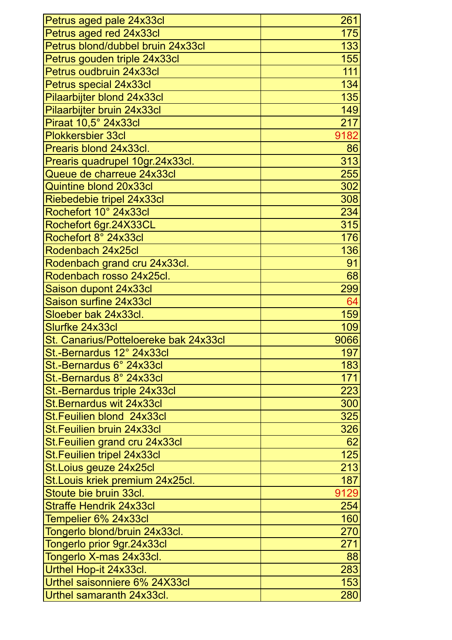| Petrus aged pale 24x33cl              | 261  |
|---------------------------------------|------|
| Petrus aged red 24x33cl               | 175  |
| Petrus blond/dubbel bruin 24x33cl     | 133  |
| Petrus gouden triple 24x33cl          | 155  |
| Petrus oudbruin 24x33cl               | 111  |
| Petrus special 24x33cl                | 134  |
| Pilaarbijter blond 24x33cl            | 135  |
| Pilaarbijter bruin 24x33cl            | 149  |
| Piraat 10,5° 24x33cl                  | 217  |
| <b>Plokkersbier 33cl</b>              | 9182 |
| Prearis blond 24x33cl.                | 86   |
| Prearis quadrupel 10gr.24x33cl.       | 313  |
| Queue de charreue 24x33cl             | 255  |
| <b>Quintine blond 20x33cl</b>         | 302  |
| Riebedebie tripel 24x33cl             | 308  |
| Rochefort 10° 24x33cl                 | 234  |
| Rochefort 6gr.24X33CL                 | 315  |
| Rochefort 8° 24x33cl                  | 176  |
| Rodenbach 24x25cl                     | 136  |
| Rodenbach grand cru 24x33cl.          | 91   |
| Rodenbach rosso 24x25cl.              | 68   |
| Saison dupont 24x33cl                 | 299  |
| Saison surfine 24x33cl                | 64   |
| Sloeber bak 24x33cl.                  | 159  |
| Slurfke 24x33cl                       | 109  |
| St. Canarius/Potteloereke bak 24x33cl | 9066 |
| St.-Bernardus 12° 24x33cl             | 197  |
| St.-Bernardus 6° 24x33cl              | 183  |
| St.-Bernardus 8° 24x33cl              | 171  |
| St.-Bernardus triple 24x33cl          | 223  |
| <b>St.Bernardus wit 24x33cl</b>       | 300  |
| <b>St.Feuilien blond 24x33cl</b>      | 325  |
| St. Feuilien bruin 24x33cl            | 326  |
| St. Feuilien grand cru 24x33cl        | 62   |
| St. Feuilien tripel 24x33cl           | 125  |
| St. Loius geuze 24x25cl               | 213  |
| St. Louis kriek premium 24x25cl.      | 187  |
| Stoute bie bruin 33cl.                | 9129 |
| <b>Straffe Hendrik 24x33cl</b>        | 254  |
| Tempelier 6% 24x33cl                  | 160  |
| Tongerlo blond/bruin 24x33cl.         | 270  |
| Tongerlo prior 9gr.24x33cl            | 271  |
| Tongerlo X-mas 24x33cl.               | 88   |
| Urthel Hop-it 24x33cl.                | 283  |
| Urthel saisonniere 6% 24X33cl         | 153  |
| Urthel samaranth 24x33cl.             | 280  |